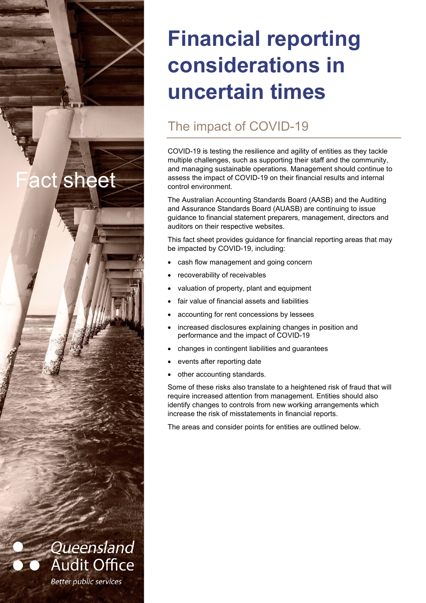# **Financial reporting considerations in uncertain times**

# The impact of COVID-19

COVID-19 is testing the resilience and agility of entities as they tackle multiple challenges, such as supporting their staff and the community, and managing sustainable operations. Management should continue to assess the impact of COVID-19 on their financial results and internal control environment.

The Australian Accounting Standards Board (AASB) and the Auditing and Assurance Standards Board (AUASB) are continuing to issue guidance to financial statement preparers, management, directors and auditors on their respective websites.

This fact sheet provides guidance for financial reporting areas that may be impacted by COVID-19, including:

- cash flow management and going concern
- recoverability of receivables

ct sheet

Queensland

**Audit Office** 

**Better public services** 

- valuation of property, plant and equipment
- fair value of financial assets and liabilities
- accounting for rent concessions by lessees
- increased disclosures explaining changes in position and performance and the impact of COVID-19
- changes in contingent liabilities and guarantees
- events after reporting date
- other accounting standards.

Some of these risks also translate to a heightened risk of fraud that will require increased attention from management. Entities should also identify changes to controls from new working arrangements which increase the risk of misstatements in financial reports.

The areas and consider points for entities are outlined below.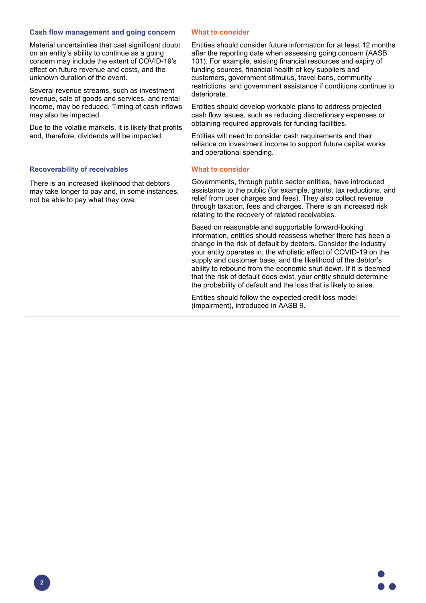# **Cash flow management and going concern**

Material uncertainties that cast significant doubt on an entity's ability to continue as a going concern may include the extent of COVID-19's effect on future revenue and costs, and the unknown duration of the event.

Several revenue streams, such as investment revenue, sale of goods and services, and rental income, may be reduced. Timing of cash inflows may also be impacted.

Due to the volatile markets, it is likely that profits and, therefore, dividends will be impacted.

#### **What to consider**

Entities should consider future information for at least 12 months after the reporting date when assessing going concern (AASB 101). For example, existing financial resources and expiry of funding sources, financial health of key suppliers and customers, government stimulus, travel bans, community restrictions, and government assistance if conditions continue to deteriorate.

Entities should develop workable plans to address projected cash flow issues, such as reducing discretionary expenses or obtaining required approvals for funding facilities.

Entities will need to consider cash requirements and their reliance on investment income to support future capital works and operational spending.

# **Recoverability of receivables**

There is an increased likelihood that debtors may take longer to pay and, in some instances, not be able to pay what they owe.

# **What to consider**

Governments, through public sector entities, have introduced assistance to the public (for example, grants, tax reductions, and relief from user charges and fees). They also collect revenue through taxation, fees and charges. There is an increased risk relating to the recovery of related receivables.

Based on reasonable and supportable forward-looking information, entities should reassess whether there has been a change in the risk of default by debtors. Consider the industry your entity operates in, the wholistic effect of COVID-19 on the supply and customer base, and the likelihood of the debtor's ability to rebound from the economic shut-down. If it is deemed that the risk of default does exist, your entity should determine the probability of default and the loss that is likely to arise.

Entities should follow the expected credit loss model (impairment), introduced in AASB 9.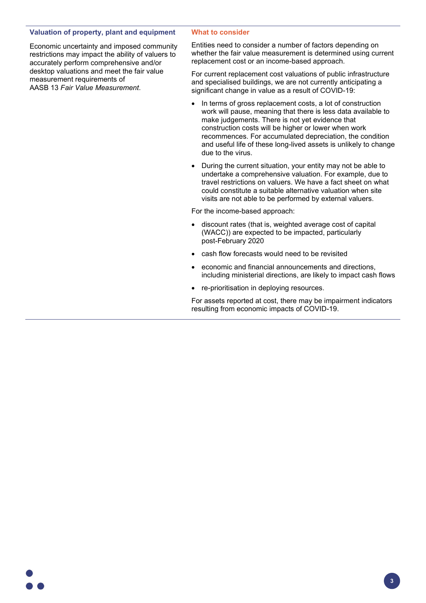# **Valuation of property, plant and equipment**

Economic uncertainty and imposed community restrictions may impact the ability of valuers to accurately perform comprehensive and/or desktop valuations and meet the fair value measurement requirements of AASB 13 *Fair Value Measurement*.

# **What to consider**

Entities need to consider a number of factors depending on whether the fair value measurement is determined using current replacement cost or an income-based approach.

For current replacement cost valuations of public infrastructure and specialised buildings, we are not currently anticipating a significant change in value as a result of COVID-19:

- In terms of gross replacement costs, a lot of construction work will pause, meaning that there is less data available to make judgements. There is not yet evidence that construction costs will be higher or lower when work recommences. For accumulated depreciation, the condition and useful life of these long-lived assets is unlikely to change due to the virus.
- During the current situation, your entity may not be able to undertake a comprehensive valuation. For example, due to travel restrictions on valuers. We have a fact sheet on what could constitute a suitable alternative valuation when site visits are not able to be performed by external valuers.

For the income-based approach:

- discount rates (that is, weighted average cost of capital (WACC)) are expected to be impacted, particularly post-February 2020
- cash flow forecasts would need to be revisited
- economic and financial announcements and directions, including ministerial directions, are likely to impact cash flows
- re-prioritisation in deploying resources.

For assets reported at cost, there may be impairment indicators resulting from economic impacts of COVID-19.



**3**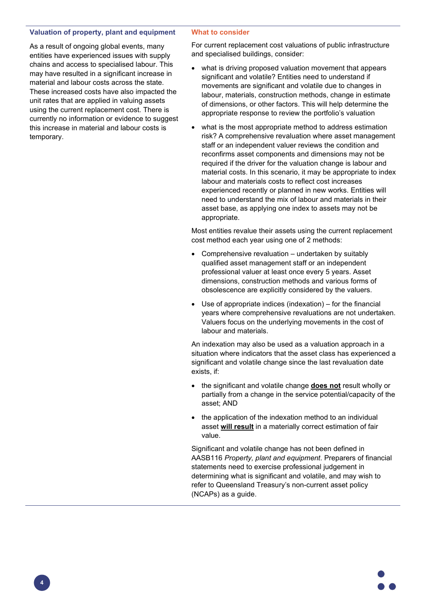# **Valuation of property, plant and equipment**

As a result of ongoing global events, many entities have experienced issues with supply chains and access to specialised labour. This may have resulted in a significant increase in material and labour costs across the state. These increased costs have also impacted the unit rates that are applied in valuing assets using the current replacement cost. There is currently no information or evidence to suggest this increase in material and labour costs is temporary.

#### **What to consider**

For current replacement cost valuations of public infrastructure and specialised buildings, consider:

- what is driving proposed valuation movement that appears significant and volatile? Entities need to understand if movements are significant and volatile due to changes in labour, materials, construction methods, change in estimate of dimensions, or other factors. This will help determine the appropriate response to review the portfolio's valuation
- what is the most appropriate method to address estimation risk? A comprehensive revaluation where asset management staff or an independent valuer reviews the condition and reconfirms asset components and dimensions may not be required if the driver for the valuation change is labour and material costs. In this scenario, it may be appropriate to index labour and materials costs to reflect cost increases experienced recently or planned in new works. Entities will need to understand the mix of labour and materials in their asset base, as applying one index to assets may not be appropriate.

Most entities revalue their assets using the current replacement cost method each year using one of 2 methods:

- Comprehensive revaluation undertaken by suitably qualified asset management staff or an independent professional valuer at least once every 5 years. Asset dimensions, construction methods and various forms of obsolescence are explicitly considered by the valuers.
- Use of appropriate indices (indexation)  $-$  for the financial years where comprehensive revaluations are not undertaken. Valuers focus on the underlying movements in the cost of labour and materials.

An indexation may also be used as a valuation approach in a situation where indicators that the asset class has experienced a significant and volatile change since the last revaluation date exists, if:

- the significant and volatile change **does not** result wholly or partially from a change in the service potential/capacity of the asset; AND
- the application of the indexation method to an individual asset **will result** in a materially correct estimation of fair value.

Significant and volatile change has not been defined in AASB116 *Property, plant and equipment*. Preparers of financial statements need to exercise professional judgement in determining what is significant and volatile, and may wish to refer to Queensland Treasury's non-current asset policy (NCAPs) as a guide.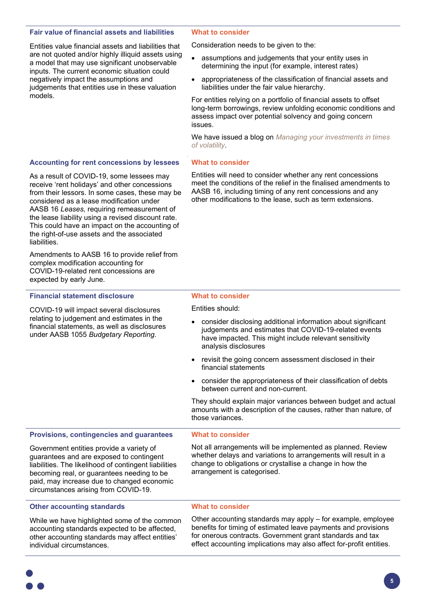# **Fair value of financial assets and liabilities**

Entities value financial assets and liabilities that are not quoted and/or highly illiquid assets using a model that may use significant unobservable inputs. The current economic situation could negatively impact the assumptions and judgements that entities use in these valuation models.

#### **What to consider**

**What to consider**

Consideration needs to be given to the:

- assumptions and judgements that your entity uses in determining the input (for example, interest rates)
- appropriateness of the classification of financial assets and liabilities under the fair value hierarchy.

For entities relying on a portfolio of financial assets to offset long-term borrowings, review unfolding economic conditions and assess impact over potential solvency and going concern issues.

We have issued a blog on *[Managing your investments in times](https://www.qao.qld.gov.au/blog/managing-your-investments-times-volatility)  [of volatility](https://www.qao.qld.gov.au/blog/managing-your-investments-times-volatility)*.

#### **Accounting for rent concessions by lessees**

As a result of COVID-19, some lessees may receive 'rent holidays' and other concessions from their lessors. In some cases, these may be considered as a lease modification under AASB 16 *Leases,* requiring remeasurement of the lease liability using a revised discount rate. This could have an impact on the accounting of the right-of-use assets and the associated liabilities.

Amendments to AASB 16 to provide relief from complex modification accounting for COVID-19-related rent concessions are expected by early June.

# **Financial statement disclosure**

COVID-19 will impact several disclosures relating to judgement and estimates in the financial statements, as well as disclosures under AASB 1055 *Budgetary Reporting*.

# Entities will need to consider whether any rent concessions meet the conditions of the relief in the finalised amendments to AASB 16, including timing of any rent concessions and any other modifications to the lease, such as term extensions.

# **What to consider**

Entities should:

- consider disclosing additional information about significant judgements and estimates that COVID-19-related events have impacted. This might include relevant sensitivity analysis disclosures
- revisit the going concern assessment disclosed in their financial statements
- consider the appropriateness of their classification of debts between current and non-current.

They should explain major variances between budget and actual amounts with a description of the causes, rather than nature, of those variances.

#### **Provisions, contingencies and guarantees** Government entities provide a variety of guarantees and are exposed to contingent liabilities. The likelihood of contingent liabilities becoming real, or guarantees needing to be paid, may increase due to changed economic **What to consider** Not all arrangements will be implemented as planned. Review whether delays and variations to arrangements will result in a change to obligations or crystallise a change in how the arrangement is categorised.

## **Other accounting standards**

circumstances arising from COVID-19.

While we have highlighted some of the common accounting standards expected to be affected, other accounting standards may affect entities' individual circumstances.

## **What to consider**

Other accounting standards may apply – for example, employee benefits for timing of estimated leave payments and provisions for onerous contracts. Government grant standards and tax effect accounting implications may also affect for-profit entities.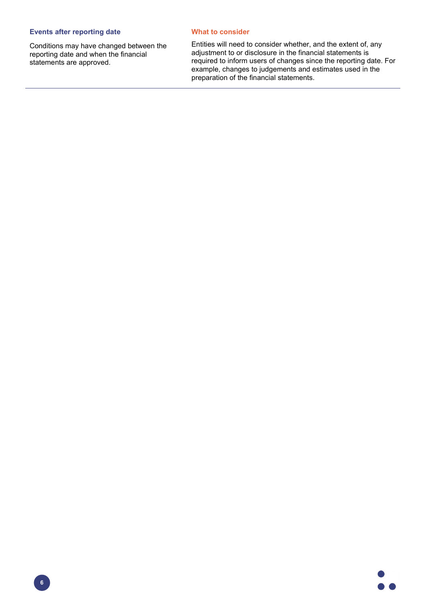# **Events after reporting date**

Conditions may have changed between the reporting date and when the financial statements are approved.

# **What to consider**

Entities will need to consider whether, and the extent of, any adjustment to or disclosure in the financial statements is required to inform users of changes since the reporting date. For example, changes to judgements and estimates used in the preparation of the financial statements.